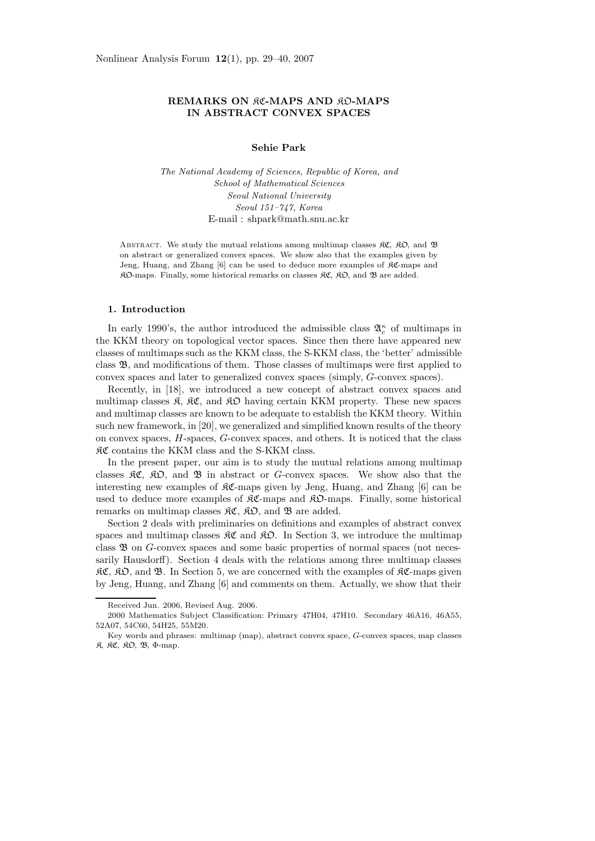# **REMARKS ON RC-MAPS AND RO-MAPS IN ABSTRACT CONVEX SPACES**

### **Sehie Park**

*The National Academy of Sciences, Republic of Korea, and School of Mathematical Sciences Seoul National University Seoul 151–747, Korea* E-mail : shpark@math.snu.ac.kr

ABSTRACT. We study the mutual relations among multimap classes  $\mathfrak{RC}, \mathfrak{RO},$  and  $\mathfrak{B}$ on abstract or generalized convex spaces. We show also that the examples given by Jeng, Huang, and Zhang  $[6]$  can be used to deduce more examples of  $\Re \mathfrak{C}$ -maps and  $R\mathfrak{O}$ -maps. Finally, some historical remarks on classes  $R\mathfrak{C}$ ,  $R\mathfrak{O}$ , and  $\mathfrak{B}$  are added.

## **1. Introduction**

In early 1990's, the author introduced the admissible class  $\mathfrak{A}_{c}^{\kappa}$  of multimaps in the KKM theory on topological vector spaces. Since then there have appeared new classes of multimaps such as the KKM class, the S-KKM class, the 'better' admissible class B, and modifications of them. Those classes of multimaps were first applied to convex spaces and later to generalized convex spaces (simply, *G*-convex spaces).

Recently, in [18], we introduced a new concept of abstract convex spaces and multimap classes  $\mathfrak{K}$ ,  $\mathfrak{K} \mathfrak{C}$ , and  $\mathfrak{K} \mathfrak{D}$  having certain KKM property. These new spaces and multimap classes are known to be adequate to establish the KKM theory. Within such new framework, in [20], we generalized and simplified known results of the theory on convex spaces, *H*-spaces, *G*-convex spaces, and others. It is noticed that the class KC contains the KKM class and the S-KKM class.

In the present paper, our aim is to study the mutual relations among multimap classes KC, KO, and B in abstract or *G*-convex spaces. We show also that the interesting new examples of  $\mathcal{RC}$ -maps given by Jeng, Huang, and Zhang [6] can be used to deduce more examples of  $\mathcal{RC}\text{-maps}$  and  $\mathcal{RD}\text{-maps}$ . Finally, some historical remarks on multimap classes  $\mathfrak{RC}, \mathfrak{RD},$  and  $\mathfrak{B}$  are added.

Section 2 deals with preliminaries on definitions and examples of abstract convex spaces and multimap classes  $\mathcal{RC}$  and  $\mathcal{RD}$ . In Section 3, we introduce the multimap class  $\mathfrak B$  on *G*-convex spaces and some basic properties of normal spaces (not necessarily Hausdorff). Section 4 deals with the relations among three multimap classes  $\mathcal{RC}, \mathcal{RD}, \text{ and } \mathcal{B}.$  In Section 5, we are concerned with the examples of  $\mathcal{RC}\text{-maps}$  given by Jeng, Huang, and Zhang [6] and comments on them. Actually, we show that their

Received Jun. 2006, Revised Aug. 2006.

<sup>2000</sup> Mathematics Subject Classification: Primary 47H04, 47H10. Secondary 46A16, 46A55, 52A07, 54C60, 54H25, 55M20.

Key words and phrases: multimap (map), abstract convex space, G-convex spaces, map classes R, RC, RO, B, Φ-map.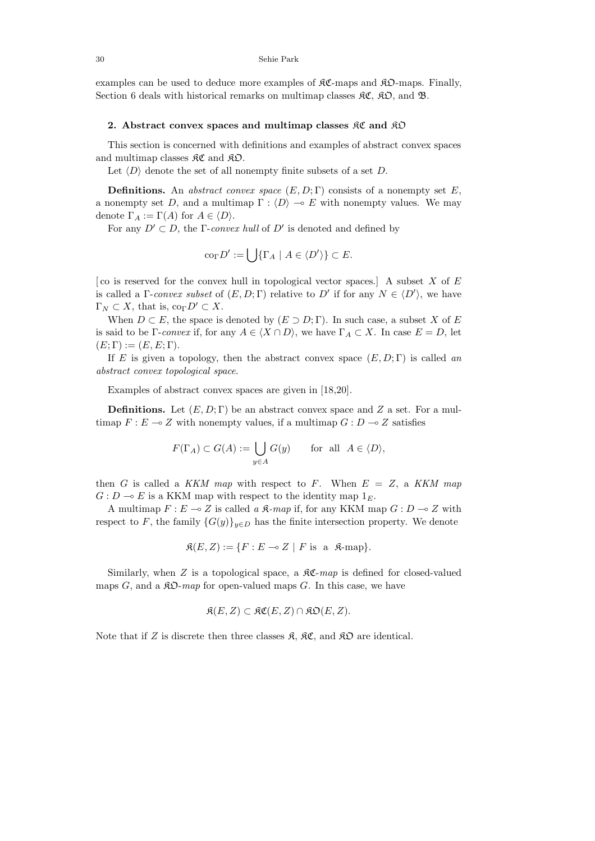examples can be used to deduce more examples of  $\mathcal{RC}\text{-maps}$  and  $\mathcal{RD}\text{-maps}$ . Finally, Section 6 deals with historical remarks on multimap classes  $\mathfrak{RC}$ ,  $\mathfrak{RD}$ , and  $\mathfrak{B}$ .

### **2. Abstract convex spaces and multimap classes** KC **and** KO

This section is concerned with definitions and examples of abstract convex spaces and multimap classes  $\mathfrak{RC}$  and  $\mathfrak{RD}$ .

Let  $\langle D \rangle$  denote the set of all nonempty finite subsets of a set *D*.

**Definitions.** An abstract convex space  $(E, D; \Gamma)$  consists of a nonempty set *E*, a nonempty set *D*, and a multimap  $\Gamma : \langle D \rangle \to E$  with nonempty values. We may denote  $\Gamma_A := \Gamma(A)$  for  $A \in \langle D \rangle$ .

For any  $D' \subset D$ , the *Γ-convex hull* of  $D'$  is denoted and defined by

$$
co_{\Gamma} D' := \bigcup \{ \Gamma_A \mid A \in \langle D' \rangle \} \subset E.
$$

[ co is reserved for the convex hull in topological vector spaces.] A subset *X* of *E* is called a  $\Gamma$ -convex subset of  $(E, D; \Gamma)$  relative to  $D'$  if for any  $N \in \langle D' \rangle$ , we have  $\Gamma_N \subset X$ , that is, co<sub>Γ</sub> $D' \subset X$ .

When  $D \subset E$ , the space is denoted by  $(E \supset D; \Gamma)$ . In such case, a subset *X* of *E* is said to be Γ-convex if, for any  $A \in \langle X \cap D \rangle$ , we have  $\Gamma_A \subset X$ . In case  $E = D$ , let  $(E; \Gamma) := (E, E; \Gamma).$ 

If *E* is given a topology, then the abstract convex space  $(E, D; \Gamma)$  is called an abstract convex topological space.

Examples of abstract convex spaces are given in [18,20].

**Definitions.** Let  $(E, D; \Gamma)$  be an abstract convex space and *Z* a set. For a multimap  $F: E \to Z$  with nonempty values, if a multimap  $G: D \to Z$  satisfies

$$
F(\Gamma_A) \subset G(A) := \bigcup_{y \in A} G(y) \quad \text{for all } A \in \langle D \rangle,
$$

then *G* is called a KKM map with respect to *F*. When  $E = Z$ , a KKM map  $G: D \to E$  is a KKM map with respect to the identity map  $1_F$ .

A multimap  $F: E \to Z$  is called a  $\mathfrak{K}\text{-}map$  if, for any KKM map  $G: D \to Z$  with respect to *F*, the family  ${G(y)}_{y \in D}$  has the finite intersection property. We denote

$$
\mathfrak{K}(E, Z) := \{ F : E \multimap Z \mid F \text{ is a } \mathfrak{K}\text{-map} \}.
$$

Similarly, when  $Z$  is a topological space, a  $\mathcal{RC}$ -map is defined for closed-valued maps *G*, and a  $\mathcal{R}D$ -map for open-valued maps *G*. In this case, we have

$$
\mathfrak{K}(E,Z) \subset \mathfrak{KC}(E,Z) \cap \mathfrak{KD}(E,Z).
$$

Note that if *Z* is discrete then three classes  $\mathfrak{K}, \mathfrak{K}\mathfrak{C}$ , and  $\mathfrak{K}\mathfrak{D}$  are identical.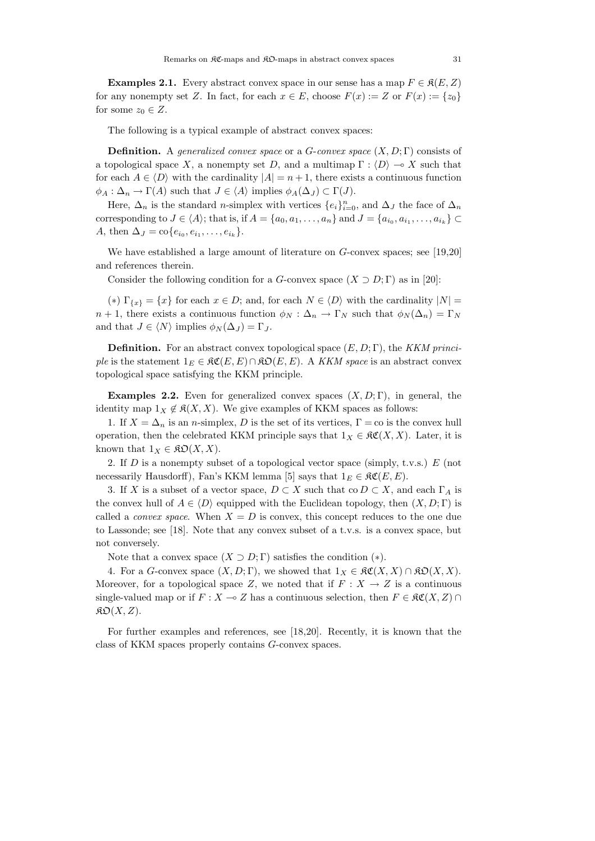**Examples 2.1.** Every abstract convex space in our sense has a map  $F \in \mathcal{R}(E, Z)$ for any nonempty set *Z*. In fact, for each  $x \in E$ , choose  $F(x) := Z$  or  $F(x) := \{z_0\}$ for some  $z_0 \in Z$ .

The following is a typical example of abstract convex spaces:

**Definition.** A generalized convex space or a *G*-convex space (*X, D*; Γ) consists of a topological space X, a nonempty set D, and a multimap  $\Gamma : \langle D \rangle \to X$  such that for each  $A \in \langle D \rangle$  with the cardinality  $|A| = n + 1$ , there exists a continuous function  $\phi_A : \Delta_n \to \Gamma(A)$  such that  $J \in \langle A \rangle$  implies  $\phi_A(\Delta_J) \subset \Gamma(J)$ .

Here,  $\Delta_n$  is the standard *n*-simplex with vertices  $\{e_i\}_{i=0}^n$ , and  $\Delta_J$  the face of  $\Delta_n$ corresponding to  $J \in \langle A \rangle$ ; that is, if  $A = \{a_0, a_1, \ldots, a_n\}$  and  $J = \{a_{i_0}, a_{i_1}, \ldots, a_{i_k}\}$ *A*, then  $\Delta J = \text{co}\{e_{i_0}, e_{i_1}, \ldots, e_{i_k}\}.$ 

We have established a large amount of literature on *G*-convex spaces; see [19,20] and references therein.

Consider the following condition for a *G*-convex space  $(X \supset D; \Gamma)$  as in [20]:

(\*)  $\Gamma_{\{x\}} = \{x\}$  for each  $x \in D$ ; and, for each  $N \in \langle D \rangle$  with the cardinality  $|N| =$ *n* + 1, there exists a continuous function  $\phi_N : \Delta_n \to \Gamma_N$  such that  $\phi_N(\Delta_n) = \Gamma_N$ and that  $J \in \langle N \rangle$  implies  $\phi_N(\Delta_J) = \Gamma_J$ .

**Definition.** For an abstract convex topological space  $(E, D; \Gamma)$ , the KKM principle is the statement  $1_E \in \mathfrak{RC}(E,E) \cap \mathfrak{RO}(E,E)$ . A KKM space is an abstract convex topological space satisfying the KKM principle.

**Examples 2.2.** Even for generalized convex spaces  $(X, D; \Gamma)$ , in general, the identity map  $1_X \notin \mathfrak{K}(X,X)$ . We give examples of KKM spaces as follows:

1. If  $X = \Delta_n$  is an *n*-simplex, *D* is the set of its vertices,  $\Gamma = \infty$  is the convex hull operation, then the celebrated KKM principle says that  $1_X \in \mathfrak{RC}(X,X)$ . Later, it is known that  $1_X \in \mathfrak{K} \mathfrak{O}(X,X)$ .

2. If *D* is a nonempty subset of a topological vector space (simply, t.v.s.) *E* (not necessarily Hausdorff), Fan's KKM lemma [5] says that  $1_E \in \mathcal{RC}(E, E)$ .

3. If *X* is a subset of a vector space,  $D \subset X$  such that co  $D \subset X$ , and each  $\Gamma_A$  is the convex hull of  $A \in \langle D \rangle$  equipped with the Euclidean topology, then  $(X, D; \Gamma)$  is called a *convex space*. When  $X = D$  is convex, this concept reduces to the one due to Lassonde; see [18]. Note that any convex subset of a t.v.s. is a convex space, but not conversely.

Note that a convex space  $(X \supset D; \Gamma)$  satisfies the condition  $(*)$ .

4. For a *G*-convex space  $(X, D; \Gamma)$ , we showed that  $1_X \in \mathfrak{RC}(X, X) \cap \mathfrak{RO}(X, X)$ . Moreover, for a topological space *Z*, we noted that if  $F: X \to Z$  is a continuous single-valued map or if  $F : X \to Z$  has a continuous selection, then  $F \in \mathcal{RC}(X, Z) \cap Z$  $\mathfrak{KO}(X,Z).$ 

For further examples and references, see [18,20]. Recently, it is known that the class of KKM spaces properly contains *G*-convex spaces.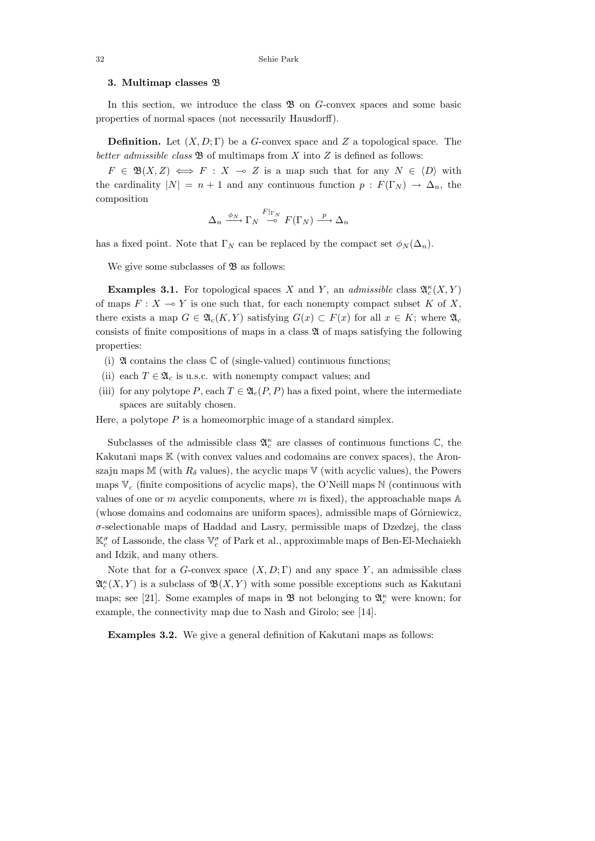## **3. Multimap classes** B

In this section, we introduce the class  $\mathfrak{B}$  on *G*-convex spaces and some basic properties of normal spaces (not necessarily Hausdorff).

**Definition.** Let (*X, D*; Γ) be a *G*-convex space and *Z* a topological space. The better admissible class  $\mathfrak{B}$  of multimaps from *X* into *Z* is defined as follows:

 $F \in \mathfrak{B}(X,Z) \iff F : X \multimap Z$  is a map such that for any  $N \in \langle D \rangle$  with the cardinality  $|N| = n + 1$  and any continuous function  $p : F(\Gamma_N) \to \Delta_n$ , the composition

$$
\Delta_n \xrightarrow{\phi_N} \Gamma_N \xrightarrow{F|_{\Gamma_N}} F(\Gamma_N) \xrightarrow{p} \Delta_n
$$

has a fixed point. Note that  $\Gamma_N$  can be replaced by the compact set  $\phi_N(\Delta_n)$ .

We give some subclasses of  $\mathfrak B$  as follows:

**Examples 3.1.** For topological spaces *X* and *Y*, an *admissible* class  $\mathfrak{A}_{c}^{\kappa}(X, Y)$ of maps  $F: X \to Y$  is one such that, for each nonempty compact subset K of X, there exists a map  $G \in \mathfrak{A}_c(K,Y)$  satisfying  $G(x) \subset F(x)$  for all  $x \in K$ ; where  $\mathfrak{A}_c$ consists of finite compositions of maps in a class  $\mathfrak A$  of maps satisfying the following properties:

- (i)  $\mathfrak A$  contains the class  $\mathbb C$  of (single-valued) continuous functions;
- (ii) each  $T \in \mathfrak{A}_c$  is u.s.c. with nonempty compact values; and
- (iii) for any polytope *P*, each  $T \in \mathfrak{A}_c(P, P)$  has a fixed point, where the intermediate spaces are suitably chosen.

Here, a polytope  $P$  is a homeomorphic image of a standard simplex.

Subclasses of the admissible class  $\mathfrak{A}^{\kappa}_{c}$  are classes of continuous functions  $\mathbb{C}$ , the Kakutani maps K (with convex values and codomains are convex spaces), the Aronszajn maps M (with  $R_\delta$  values), the acyclic maps V (with acyclic values), the Powers maps  $V_c$  (finite compositions of acyclic maps), the O'Neill maps  $N$  (continuous with values of one or *m* acyclic components, where *m* is fixed), the approachable maps A (whose domains and codomains are uniform spaces), admissible maps of Górniewicz, *σ*-selectionable maps of Haddad and Lasry, permissible maps of Dzedzej, the class  $\mathbb{K}^{\sigma}_c$  of Lassonde, the class  $\mathbb{V}^{\sigma}_c$  of Park et al., approximable maps of Ben-El-Mechaiekh and Idzik, and many others.

Note that for a *G*-convex space  $(X, D; \Gamma)$  and any space *Y*, an admissible class  $\mathfrak{A}_c^{\kappa}(X,Y)$  is a subclass of  $\mathfrak{B}(X,Y)$  with some possible exceptions such as Kakutani maps; see [21]. Some examples of maps in B not belonging to A*<sup>κ</sup> <sup>c</sup>* were known; for example, the connectivity map due to Nash and Girolo; see [14].

**Examples 3.2.** We give a general definition of Kakutani maps as follows: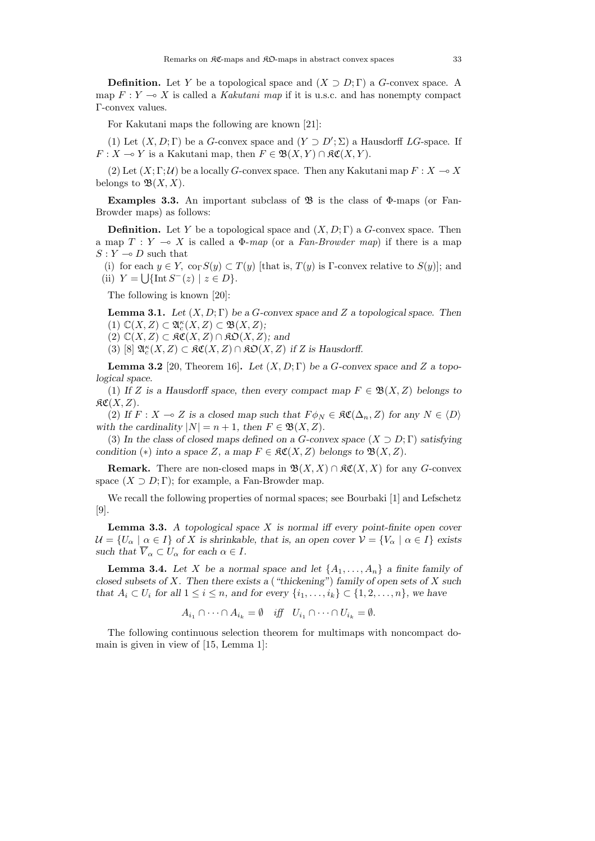**Definition.** Let *Y* be a topological space and  $(X \supset D; \Gamma)$  a *G*-convex space. A map  $F: Y \longrightarrow X$  is called a Kakutani map if it is u.s.c. and has nonempty compact Γ-convex values.

For Kakutani maps the following are known [21]:

(1) Let  $(X, D; \Gamma)$  be a *G*-convex space and  $(Y \supset D'; \Sigma)$  a Hausdorff *LG*-space. If  $F: X \to Y$  is a Kakutani map, then  $F \in \mathfrak{B}(X, Y) \cap \mathfrak{K}\mathfrak{C}(X, Y)$ .

(2) Let  $(X; \Gamma; \mathcal{U})$  be a locally *G*-convex space. Then any Kakutani map  $F: X \to X$ belongs to  $\mathfrak{B}(X,X)$ .

**Examples 3.3.** An important subclass of  $\mathfrak{B}$  is the class of  $\Phi$ -maps (or Fan-Browder maps) as follows:

**Definition.** Let *Y* be a topological space and (*X, D*; Γ) a *G*-convex space. Then a map  $T: Y \multimap X$  is called a  $\Phi$ -map (or a Fan-Browder map) if there is a map  $S: Y \longrightarrow D$  such that

(i) for each  $y \in Y$ ,  $\operatorname{co}_{\Gamma} S(y) \subset T(y)$  [that is,  $T(y)$  is Γ-convex relative to  $S(y)$ ]; and (ii)  $Y = \bigcup \{ \text{Int } S^{-}(z) \mid z \in D \}.$ 

The following is known [20]:

**Lemma 3.1.** *Let* (*X, D*; Γ) *be a G-convex space and Z a topological space. Then*  $(1)$   $\mathbb{C}(X, Z) \subset \mathfrak{A}_{c}^{\kappa}(X, Z) \subset \mathfrak{B}(X, Z);$ 

 $(2)$  **C**(*X, Z*) ⊂  $\mathfrak{RC}(X, Z) \cap \mathfrak{RO}(X, Z)$ *;* and

(3) [8]  $\mathfrak{A}_{c}^{\kappa}(X, Z) \subset \mathfrak{K}\mathfrak{C}(X, Z) \cap \mathfrak{K}\mathfrak{O}(X, Z)$  *if* Z is Hausdorff.

**Lemma 3.2** [20, Theorem 16]. Let  $(X, D; \Gamma)$  be a *G*-convex space and *Z* a topo*logical space.*

(1) If *Z* is a Hausdorff space, then every compact map  $F \in \mathfrak{B}(X, Z)$  belongs to  $R\mathfrak{C}(X,Z)$ .

(2) *If*  $F : X \to Z$  *is a closed map such that*  $F \phi_N \in \mathcal{RC}(\Delta_n, Z)$  *for any*  $N \in \langle D \rangle$ *with the cardinality*  $|N| = n + 1$ *, then*  $F \in \mathfrak{B}(X, Z)$ *.* 

(3) In the class of closed maps defined on a *G*-convex space  $(X \supset D; \Gamma)$  satisfying *condition* (\*) *into a space Z, a map*  $F \in \mathfrak{RC}(X, Z)$  *belongs to*  $\mathfrak{B}(X, Z)$ *.* 

**Remark.** There are non-closed maps in  $\mathfrak{B}(X,X) \cap \mathfrak{K}\mathfrak{C}(X,X)$  for any *G*-convex space  $(X \supset D; \Gamma)$ ; for example, a Fan-Browder map.

We recall the following properties of normal spaces; see Bourbaki [1] and Lefschetz [9].

**Lemma 3.3.** *A topological space X is normal iff every point-finite open cover*  $U = \{U_\alpha \mid \alpha \in I\}$  of X is shrinkable, that is, an open cover  $V = \{V_\alpha \mid \alpha \in I\}$  exists *such that*  $\overline{V}_{\alpha} \subset U_{\alpha}$  *for each*  $\alpha \in I$ *.* 

**Lemma 3.4.** Let *X* be a normal space and let  $\{A_1, \ldots, A_n\}$  a finite family of *closed subsets of X. Then there exists a* (*"thickening"*) *family of open sets of X such that*  $A_i \subset U_i$  *for all*  $1 \leq i \leq n$ *, and for every*  $\{i_1, \ldots, i_k\} \subset \{1, 2, \ldots, n\}$ *, we have* 

$$
A_{i_1} \cap \cdots \cap A_{i_k} = \emptyset \quad \text{iff} \quad U_{i_1} \cap \cdots \cap U_{i_k} = \emptyset.
$$

The following continuous selection theorem for multimaps with noncompact domain is given in view of [15, Lemma 1]: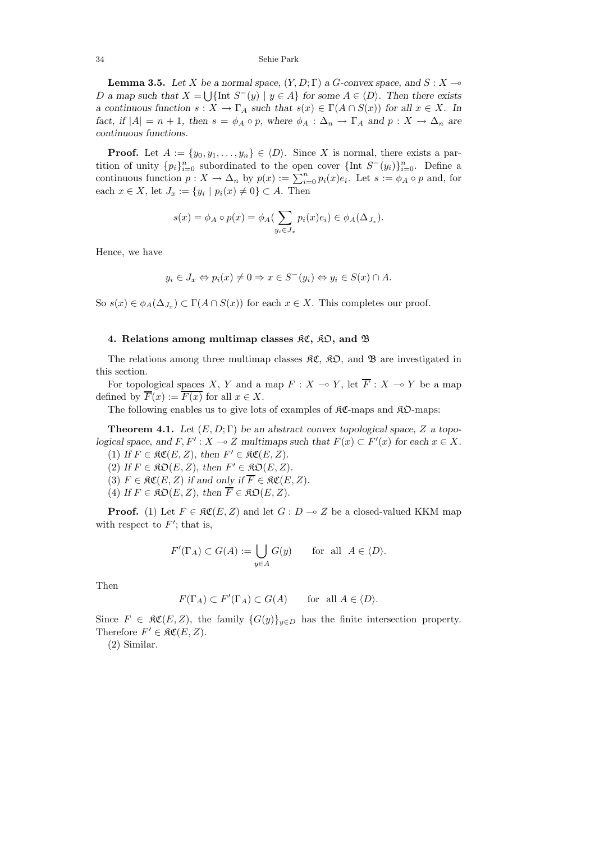34 Sehie Park

**Lemma 3.5.** Let *X* be a normal space,  $(Y, D; \Gamma)$  a *G*-convex space, and *S* : *X*  $\rightarrow$ *D a* map such that  $X = \bigcup \{ \text{Int } S^-(y) \mid y \in A \}$  for some  $A \in \langle D \rangle$ . Then there exists *a continuous function*  $s: X \to \Gamma_A$  *such that*  $s(x) \in \Gamma(A \cap S(x))$  *for all*  $x \in X$ *. In fact, if*  $|A| = n + 1$ *, then*  $s = \phi_A \circ p$ *, where*  $\phi_A : \Delta_n \to \Gamma_A$  *and*  $p : X \to \Delta_n$  *are continuous functions.*

**Proof.** Let  $A := \{y_0, y_1, \ldots, y_n\} \in \langle D \rangle$ . Since *X* is normal, there exists a partition of unity  ${p_i}_{i=0}^n$  subordinated to the open cover  ${\{\text{Int } S^-(y_i)\}}_{i=0}^n$ . Define a continuous function  $p: X \to \Delta_n$  by  $p(x) := \sum_{i=0}^n p_i(x)e_i$ . Let  $s := \phi_A \circ p$  and, for each  $x \in X$ , let  $J_x := \{y_i \mid p_i(x) \neq 0\} \subset A$ . Then

$$
s(x) = \phi_A \circ p(x) = \phi_A(\sum_{y_i \in J_x} p_i(x)e_i) \in \phi_A(\Delta_{J_x}).
$$

Hence, we have

$$
y_i \in J_x \Leftrightarrow p_i(x) \neq 0 \Rightarrow x \in S^-(y_i) \Leftrightarrow y_i \in S(x) \cap A.
$$

So  $s(x) \in \phi_A(\Delta_{J_x}) \subset \Gamma(A \cap S(x))$  for each  $x \in X$ . This completes our proof.

### **4. Relations among multimap classes** KC**,** KO**, and** B

The relations among three multimap classes  $\mathfrak{RC}, \mathfrak{RO},$  and  $\mathfrak{B}$  are investigated in this section.

For topological spaces *X*, *Y* and a map  $F: X \to Y$ , let  $\overline{F}: X \to Y$  be a map defined by  $\overline{F}(x) := \overline{F(x)}$  for all  $x \in X$ .

The following enables us to give lots of examples of  $\Re\mathfrak{C}$ -maps and  $\Re\mathfrak{D}$ -maps:

**Theorem 4.1.** Let  $(E, D; \Gamma)$  be an abstract convex topological space, Z a topo*logical space, and*  $F, F': X \to Z$  *multimaps such that*  $F(x) \subset F'(x)$  *for each*  $x \in X$ *.* 

(1) *If*  $F \in \mathfrak{RC}(E, Z)$ , then  $F' \in \mathfrak{RC}(E, Z)$ . (2) *If*  $F \in \mathfrak{RO}(E, Z)$ *, then*  $F' \in \mathfrak{RO}(E, Z)$ *.* 

(3)  $F \in \mathfrak{RC}(E, Z)$  if and only if  $\overline{F} \in \mathfrak{RC}(E, Z)$ .

(4) *If*  $F \in \mathfrak{RO}(E, Z)$ , then  $\overline{F} \in \mathfrak{RO}(E, Z)$ .

**Proof.** (1) Let  $F \in \mathfrak{RC}(E, Z)$  and let  $G : D \to Z$  be a closed-valued KKM map with respect to  $F'$ ; that is,

$$
F'(\Gamma_A) \subset G(A) := \bigcup_{y \in A} G(y) \quad \text{for all } A \in \langle D \rangle.
$$

Then

$$
F(\Gamma_A) \subset F'(\Gamma_A) \subset G(A) \quad \text{for all } A \in \langle D \rangle.
$$

Since  $F \in \mathcal{RC}(E, Z)$ , the family  $\{G(y)\}_{y \in D}$  has the finite intersection property. Therefore  $F' \in \mathfrak{RC}(E, Z)$ .

(2) Similar.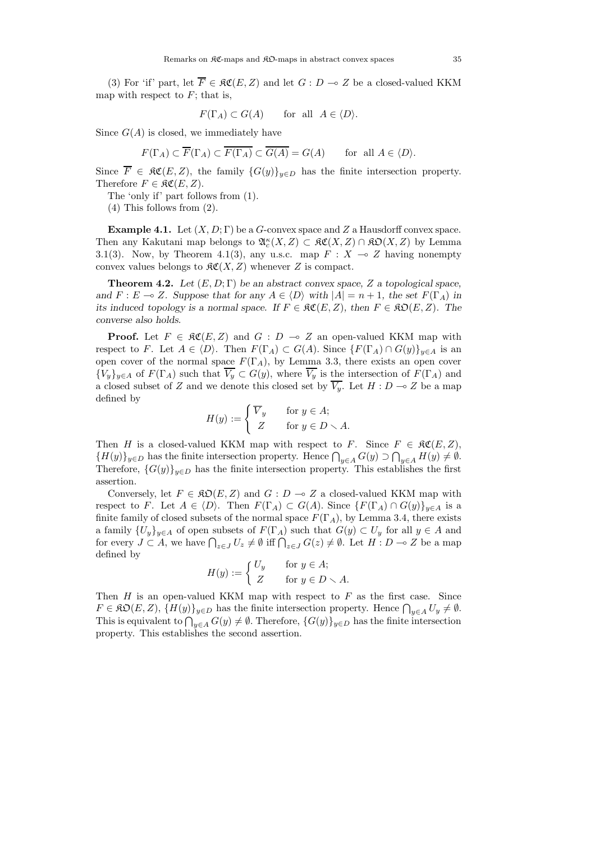(3) For 'if' part, let  $\overline{F} \in \mathfrak{RC}(E, Z)$  and let  $G : D \to Z$  be a closed-valued KKM map with respect to  $F$ ; that is,

$$
F(\Gamma_A) \subset G(A)
$$
 for all  $A \in \langle D \rangle$ .

Since  $G(A)$  is closed, we immediately have

 $F(\Gamma_A) \subset \overline{F}(\Gamma_A) \subset \overline{F(\Gamma_A)} \subset \overline{G(A)} = G(A)$  for all  $A \in \langle D \rangle$ *.* 

Since  $\overline{F} \in \mathfrak{RC}(E, Z)$ , the family  $\{G(y)\}_{y \in D}$  has the finite intersection property. Therefore  $F \in \mathfrak{RC}(E, Z)$ .

The 'only if' part follows from (1).

(4) This follows from (2).

**Example 4.1.** Let  $(X, D; \Gamma)$  be a *G*-convex space and *Z* a Hausdorff convex space. Then any Kakutani map belongs to  $\mathfrak{A}_{c}^{\kappa}(X, Z) \subset \mathfrak{K}\mathfrak{C}(X, Z) \cap \mathfrak{K}\mathfrak{O}(X, Z)$  by Lemma 3.1(3). Now, by Theorem 4.1(3), any u.s.c. map  $F : X \to Z$  having nonempty convex values belongs to  $\mathcal{RC}(X, Z)$  whenever *Z* is compact.

**Theorem 4.2.** *Let* (*E,D*; Γ) *be an abstract convex space, Z a topological space, and*  $F: E \to Z$ *. Suppose that for any*  $A \in \langle D \rangle$  *with*  $|A| = n + 1$ *, the set*  $F(\Gamma_A)$  *in its induced topology is a normal space. If*  $F \in \mathfrak{RC}(E, Z)$ , then  $F \in \mathfrak{RO}(E, Z)$ . The *converse also holds.*

**Proof.** Let  $F \in \mathfrak{RC}(E, Z)$  and  $G : D \to Z$  an open-valued KKM map with respect to *F*. Let  $A \in \langle D \rangle$ . Then  $F(\Gamma_A) \subset G(A)$ . Since  $\{F(\Gamma_A) \cap G(y)\}_{y \in A}$  is an open cover of the normal space  $F(\Gamma_A)$ , by Lemma 3.3, there exists an open cover  ${V_y}_{y \in A}$  of  $F(\Gamma_A)$  such that  $\overline{V_y} \subset G(y)$ , where  $\overline{V_y}$  is the intersection of  $F(\Gamma_A)$  and a closed subset of *Z* and we denote this closed set by  $\overline{V_y}$ . Let  $H : D \to Z$  be a map defined by

$$
H(y) := \begin{cases} \overline{V}_y & \text{for } y \in A; \\ Z & \text{for } y \in D \setminus A. \end{cases}
$$

Then *H* is a closed-valued KKM map with respect to *F*. Since  $F \in \mathfrak{RC}(E, Z)$ ,  ${H(y)}_{y\in D}$  has the finite intersection property. Hence  $\bigcap_{y\in A} G(y) \supset \bigcap_{y\in A} H(y) \neq \emptyset$ . Therefore,  ${G(y)}_{y\in D}$  has the finite intersection property. This establishes the first assertion.

Conversely, let  $F \in \mathfrak{RO}(E, Z)$  and  $G : D \to Z$  a closed-valued KKM map with respect to *F*. Let  $A \in \langle D \rangle$ . Then  $F(\Gamma_A) \subset G(A)$ . Since  $\{F(\Gamma_A) \cap G(y)\}_{y \in A}$  is a finite family of closed subsets of the normal space  $F(\Gamma_A)$ , by Lemma 3.4, there exists a family  ${U_y}_{y \in A}$  of open subsets of  $F(\Gamma_A)$  such that  $G(y) \subset U_y$  for all  $y \in A$  and for every  $J \subset A$ , we have  $\bigcap_{z \in J} U_z \neq \emptyset$  iff  $\bigcap_{z \in J} G(z) \neq \emptyset$ . Let  $H : D \multimap Z$  be a map defined by

$$
H(y) := \begin{cases} U_y & \text{for } y \in A; \\ Z & \text{for } y \in D \setminus A. \end{cases}
$$

Then *H* is an open-valued KKM map with respect to *F* as the first case. Since  $F \in \mathfrak{RO}(E, Z), \{H(y)\}_{y \in D}$  has the finite intersection property. Hence  $\bigcap_{y \in A} U_y \neq \emptyset$ . This is equivalent to  $\bigcap_{y\in A} G(y) \neq \emptyset$ . Therefore,  $\{G(y)\}_{y\in D}$  has the finite intersection property. This establishes the second assertion.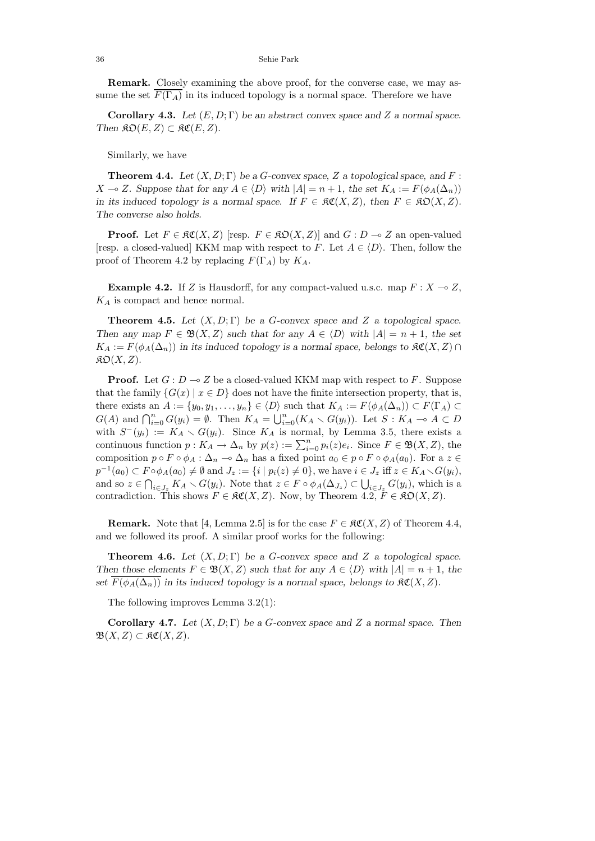**Remark.** Closely examining the above proof, for the converse case, we may assume the set  $\overline{F(\Gamma_A)}$  in its induced topology is a normal space. Therefore we have

**Corollary 4.3.** *Let*  $(E, D; \Gamma)$  *be an abstract convex space and Z a normal space. Then*  $\mathfrak{RO}(E, Z) \subset \mathfrak{RC}(E, Z)$ .

Similarly, we have

**Theorem 4.4.** Let  $(X, D; \Gamma)$  be a *G*-convex space, *Z* a topological space, and *F*: *X* → *Z. Suppose that for any*  $A \in \langle D \rangle$  *with*  $|A| = n + 1$ *, the set*  $K_A := F(\phi_A(\Delta_n))$ *in its induced topology is a normal space. If*  $F \in \mathfrak{RC}(X, Z)$ *, then*  $F \in \mathfrak{SO}(X, Z)$ *. The converse also holds.*

**Proof.** Let  $F \in \mathfrak{RC}(X, Z)$  [resp.  $F \in \mathfrak{RD}(X, Z)$ ] and  $G : D \to Z$  an open-valued [resp. a closed-valued] KKM map with respect to *F*. Let  $A \in \langle D \rangle$ . Then, follow the proof of Theorem 4.2 by replacing  $F(\Gamma_A)$  by  $K_A$ .

**Example 4.2.** If *Z* is Hausdorff, for any compact-valued u.s.c. map  $F: X \to Z$ , *K<sup>A</sup>* is compact and hence normal.

**Theorem 4.5.** *Let* (*X, D*; Γ) *be a G-convex space and Z a topological space. Then any map*  $F \in \mathfrak{B}(X, Z)$  *such that for any*  $A \in \langle D \rangle$  *with*  $|A| = n + 1$ *, the set*  $K_A := F(\phi_A(\Delta_n))$  *in its induced topology is a normal space, belongs to*  $\Re \mathfrak{C}(X, Z)$  ∩  $\mathfrak{K}\mathfrak{O}(X,Z)$ .

**Proof.** Let  $G: D \to Z$  be a closed-valued KKM map with respect to F. Suppose that the family  $\{G(x) \mid x \in D\}$  does not have the finite intersection property, that is, there exists an  $A := \{y_0, y_1, \ldots, y_n\} \in \langle D \rangle$  such that  $K_A := F(\phi_A(\Delta_n)) \subset F(\Gamma_A) \subset$  $G(A)$  and  $\bigcap_{i=0}^{n} G(y_i) = \emptyset$ . Then  $K_A = \bigcup_{i=0}^{n} (K_A \setminus G(y_i))$ . Let  $S: K_A \to A \subset D$ with  $S^{-}(y_i) := K_A \setminus G(y_i)$ . Since  $K_A$  is normal, by Lemma 3.5, there exists a continuous function  $p: K_A \to \Delta_n$  by  $p(z) := \sum_{i=0}^n p_i(z)e_i$ . Since  $F \in \mathfrak{B}(X, Z)$ , the composition  $p \circ F \circ \phi_A : \Delta_n \to \Delta_n$  has a fixed point  $a_0 \in p \circ F \circ \phi_A(a_0)$ . For a  $z \in$  $p^{-1}(a_0) \subset F \circ \phi_A(a_0) \neq \emptyset$  and  $J_z := \{i \mid p_i(z) \neq 0\}$ , we have  $i \in J_z$  iff  $z \in K_A \setminus G(y_i)$ , and so  $z \in \bigcap_{i \in J_z} K_A \setminus G(y_i)$ . Note that  $z \in F \circ \phi_A(\Delta_{J_z}) \subset \bigcup_{i \in J_z} G(y_i)$ , which is a contradiction. This shows  $F \in \mathcal{RC}(X, Z)$ . Now, by Theorem 4.2,  $F \in \mathcal{RD}(X, Z)$ .

**Remark.** Note that [4, Lemma 2.5] is for the case  $F \in \mathcal{RC}(X, Z)$  of Theorem 4.4, and we followed its proof. A similar proof works for the following:

**Theorem 4.6.** *Let*  $(X, D; \Gamma)$  *be a G*-convex space and *Z a* topological space. *Then those elements*  $F \in \mathfrak{B}(X, Z)$  *such that for any*  $A \in \langle D \rangle$  *with*  $|A| = n + 1$ *, the set*  $\overline{F(\phi_A(\Delta_n))}$  *in its induced topology is a normal space, belongs to*  $\Re\mathfrak{C}(X,Z)$ *.* 

The following improves Lemma 3.2(1):

**Corollary 4.7.** *Let* (*X, D*; Γ) *be a G-convex space and Z a normal space. Then*  $\mathfrak{B}(X,Z) \subset \mathfrak{K}\mathfrak{C}(X,Z).$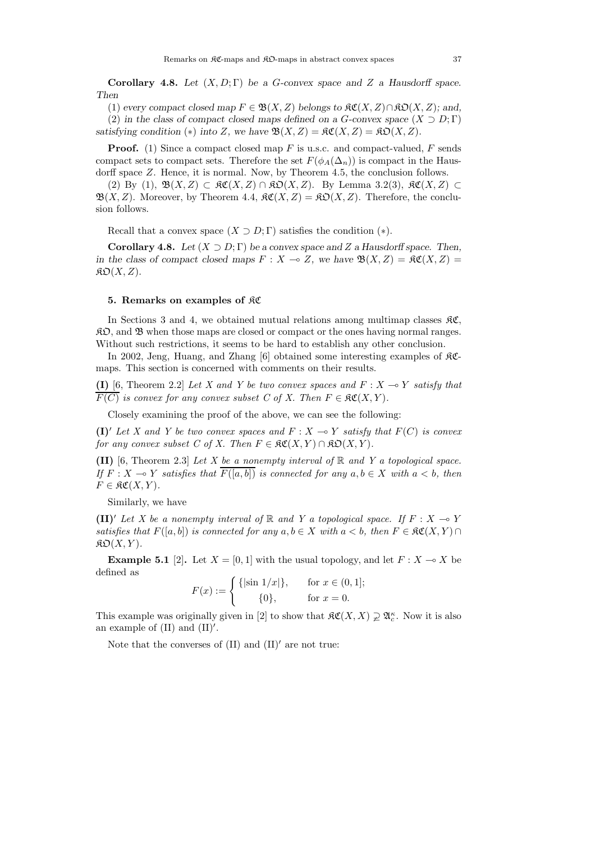**Corollary 4.8.** *Let* (*X, D*; Γ) *be a G-convex space and Z a Hausdorff space. Then*

(1) *every compact closed map*  $F \in \mathfrak{B}(X, Z)$  *belongs to*  $\mathfrak{RC}(X, Z) \cap \mathfrak{RO}(X, Z)$ *; and,* 

(2) *in the class of compact closed maps defined on a*  $G$ *-convex space*  $(X \supset D; \Gamma)$ *satisfying condition* (\*) *into Z,* we have  $\mathfrak{B}(X, Z) = \mathfrak{K}\mathfrak{C}(X, Z) = \mathfrak{K}\mathfrak{O}(X, Z)$ *.* 

**Proof.** (1) Since a compact closed map F is u.s.c. and compact-valued, F sends compact sets to compact sets. Therefore the set  $F(\phi_A(\Delta_n))$  is compact in the Hausdorff space *Z*. Hence, it is normal. Now, by Theorem 4.5, the conclusion follows.

(2) By (1),  $\mathfrak{B}(X, Z) \subset \mathfrak{K}(X, Z) \cap \mathfrak{K}(\mathfrak{O}(X, Z)$ . By Lemma 3.2(3),  $\mathfrak{K}(X, Z) \subset$  $\mathfrak{B}(X,Z)$ . Moreover, by Theorem 4.4,  $\mathfrak{K}(X,Z) = \mathfrak{K}(\mathfrak{D}(X,Z))$ . Therefore, the conclusion follows.

Recall that a convex space  $(X \supset D; \Gamma)$  satisfies the condition  $(*)$ .

**Corollary 4.8.** *Let*  $(X \supset D; \Gamma)$  *be a convex space and Z a Hausdorff space. Then, in the class of compact closed maps*  $F: X \to Z$ , we have  $\mathfrak{B}(X, Z) = \mathfrak{K}\mathfrak{C}(X, Z) =$  $\mathfrak{K}\mathfrak{O}(X,Z)$ .

### **5. Remarks on examples of** KC

In Sections 3 and 4, we obtained mutual relations among multimap classes  $\mathfrak{K}\mathfrak{C}$ ,  $\mathcal{R}D$ , and  $\mathcal{B}$  when those maps are closed or compact or the ones having normal ranges. Without such restrictions, it seems to be hard to establish any other conclusion.

In 2002, Jeng, Huang, and Zhang [6] obtained some interesting examples of KCmaps. This section is concerned with comments on their results.

**(I)** [6, Theorem 2.2] Let X and Y be two convex spaces and  $F : X \rightarrow Y$  satisfy that  $\overline{F(C)}$  is convex for any convex subset C of X. Then  $F \in \mathfrak{RC}(X,Y)$ .

Closely examining the proof of the above, we can see the following:

**(I)**<sup> $\prime$ </sup> Let X and Y be two convex spaces and  $F : X \rightarrow Y$  satisfy that  $F(C)$  is convex for any convex subset C of X. Then  $F \in \mathfrak{RC}(X,Y) \cap \mathfrak{KD}(X,Y)$ .

**(II)** [6, Theorem 2.3] Let X be a nonempty interval of  $\mathbb{R}$  and Y a topological space. If  $F: X \to Y$  satisfies that  $\overline{F([a, b])}$  is connected for any  $a, b \in X$  with  $a < b$ , then  $F \in \mathfrak{RC}(X,Y).$ 

Similarly, we have

**(II)**<sup> $\prime$ </sup> Let X be a nonempty interval of R and Y a topological space. If  $F: X \rightarrow Y$ satisfies that  $F([a, b])$  is connected for any  $a, b \in X$  with  $a < b$ , then  $F \in \mathfrak{RC}(X, Y) \cap Y$  $\mathfrak{K}\mathfrak{O}(X,Y)$ .

**Example 5.1** [2]. Let  $X = [0, 1]$  with the usual topology, and let  $F: X \to X$  be defined as

$$
F(x) := \begin{cases} \{|\sin 1/x|\}, & \text{for } x \in (0,1]; \\ 0, & \text{for } x = 0. \end{cases}
$$

This example was originally given in [2] to show that  $\mathcal{RC}(X, X) \supsetneq \mathfrak{A}_c^{\kappa}$ . Now it is also an example of  $(II)$  and  $(II)'$ .

Note that the converses of  $(II)$  and  $(II)'$  are not true: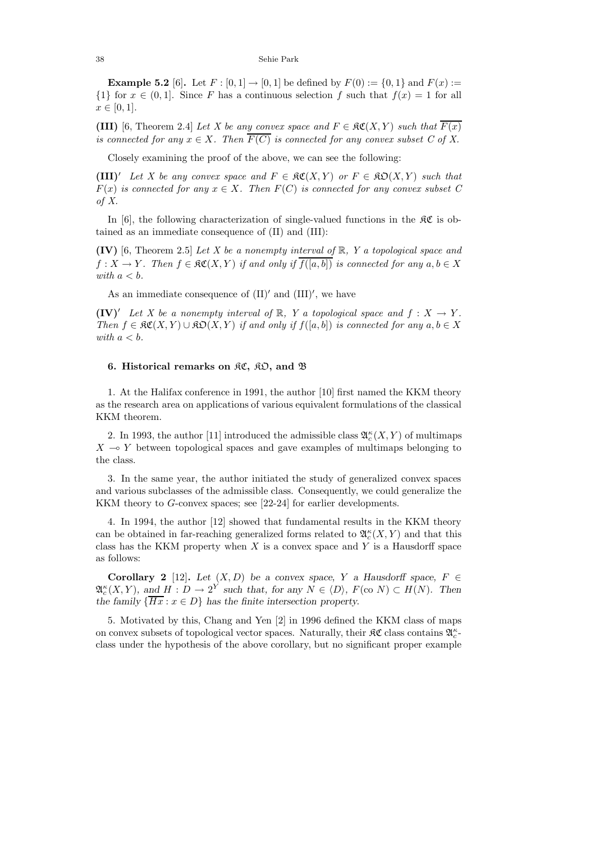**Example 5.2** [6]. Let  $F : [0, 1] \rightarrow [0, 1]$  be defined by  $F(0) := \{0, 1\}$  and  $F(x) :=$  $\{1\}$  for  $x \in (0,1]$ . Since *F* has a continuous selection *f* such that  $f(x) = 1$  for all  $x \in [0, 1].$ 

**(III)** [6, Theorem 2.4] Let X be any convex space and  $F \in \mathfrak{RC}(X, Y)$  such that  $\overline{F(x)}$ is connected for any  $x \in X$ . Then  $\overline{F(C)}$  is connected for any convex subset C of X.

Closely examining the proof of the above, we can see the following:

**(III)**<sup> $\iota$ </sup> Let X be any convex space and  $F \in \mathfrak{RC}(X, Y)$  or  $F \in \mathfrak{RO}(X, Y)$  such that  $F(x)$  is connected for any  $x \in X$ . Then  $F(C)$  is connected for any convex subset C of  $X$ .

In [6], the following characterization of single-valued functions in the  $\mathcal{RC}$  is obtained as an immediate consequence of (II) and (III):

**(IV)** [6, Theorem 2.5] Let X be a nonempty interval of  $\mathbb{R}$ , Y a topological space and  $f: X \to Y$ . Then  $f \in \mathfrak{RC}(X, Y)$  if and only if  $\overline{f([a, b])}$  is connected for any  $a, b \in X$ with  $a < b$ .

As an immediate consequence of  $(II)'$  and  $(III)'$ , we have

**(IV)**<sup> $\prime$ </sup> Let X be a nonempty interval of R, Y a topological space and  $f : X \rightarrow Y$ . Then  $f \in \mathfrak{RC}(X, Y) \cup \mathfrak{RO}(X, Y)$  if and only if  $f([a, b])$  is connected for any  $a, b \in X$ with  $a < b$ .

## **6. Historical remarks on** KC**,** KO**, and** B

1. At the Halifax conference in 1991, the author [10] first named the KKM theory as the research area on applications of various equivalent formulations of the classical KKM theorem.

2. In 1993, the author [11] introduced the admissible class  $\mathfrak{A}_{c}^{\kappa}(X,Y)$  of multimaps  $X \rightarrow Y$  between topological spaces and gave examples of multimaps belonging to the class.

3. In the same year, the author initiated the study of generalized convex spaces and various subclasses of the admissible class. Consequently, we could generalize the KKM theory to *G*-convex spaces; see [22-24] for earlier developments.

4. In 1994, the author [12] showed that fundamental results in the KKM theory can be obtained in far-reaching generalized forms related to  $\mathfrak{A}_{c}^{\kappa}(X,Y)$  and that this class has the KKM property when *X* is a convex space and *Y* is a Hausdorff space as follows:

**Corollary 2** [12]**.** *Let*  $(X, D)$  *be a convex space, Y a Hausdorff space,*  $F \in$  $\mathfrak{A}_{c}^{\kappa}(X, Y)$ , and  $H: D \to 2^{Y}$  such that, for any  $N \in \langle D \rangle$ ,  $F(\text{co } N) \subset H(N)$ . Then *the family*  $\{\overline{Hx} : x \in D\}$  *has the finite intersection property.* 

5. Motivated by this, Chang and Yen [2] in 1996 defined the KKM class of maps on convex subsets of topological vector spaces. Naturally, their  $\mathfrak{KC}$  class contains  $\mathfrak{A}^{\kappa}_c$ class under the hypothesis of the above corollary, but no significant proper example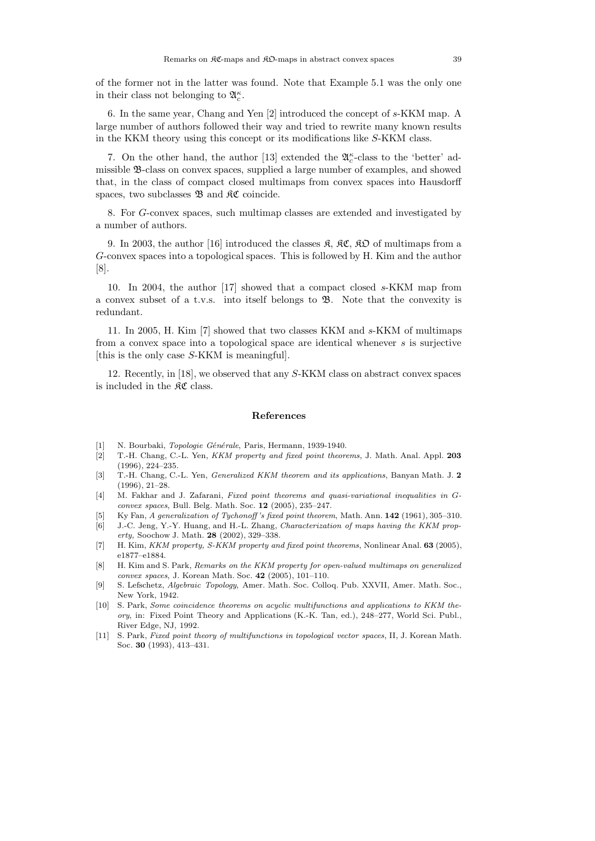of the former not in the latter was found. Note that Example 5.1 was the only one in their class not belonging to  $\mathfrak{A}_{c}^{\kappa}$ .

6. In the same year, Chang and Yen [2] introduced the concept of *s*-KKM map. A large number of authors followed their way and tried to rewrite many known results in the KKM theory using this concept or its modifications like *S*-KKM class.

7. On the other hand, the author [13] extended the  $\mathfrak{A}_{c}^{\kappa}$ -class to the 'better' admissible B-class on convex spaces, supplied a large number of examples, and showed that, in the class of compact closed multimaps from convex spaces into Hausdorff spaces, two subclasses  $\mathfrak{B}$  and  $\mathfrak{K} \mathfrak{C}$  coincide.

8. For *G*-convex spaces, such multimap classes are extended and investigated by a number of authors.

9. In 2003, the author [16] introduced the classes  $\mathfrak{K}, \mathfrak{K} \mathfrak{C}, \mathfrak{K} \mathfrak{O}$  of multimaps from a *G*-convex spaces into a topological spaces. This is followed by H. Kim and the author [8].

10. In 2004, the author [17] showed that a compact closed *s*-KKM map from a convex subset of a t.v.s. into itself belongs to B. Note that the convexity is redundant.

11. In 2005, H. Kim [7] showed that two classes KKM and *s*-KKM of multimaps from a convex space into a topological space are identical whenever *s* is surjective [this is the only case *S*-KKM is meaningful].

12. Recently, in [18], we observed that any *S*-KKM class on abstract convex spaces is included in the  $\mathcal{RC}$  class.

#### **References**

- [1] N. Bourbaki, *Topologie Générale*, Paris, Hermann, 1939-1940.
- [2] T.-H. Chang, C.-L. Yen, *KKM property and fixed point theorems*, J. Math. Anal. Appl. **203** (1996), 224–235.
- [3] T.-H. Chang, C.-L. Yen, *Generalized KKM theorem and its applications*, Banyan Math. J. **2** (1996), 21–28.
- [4] M. Fakhar and J. Zafarani, *Fixed point theorems and quasi-variational inequalities in* G*convex spaces*, Bull. Belg. Math. Soc. **12** (2005), 235–247.
- [5] Ky Fan, *A generalization of Tychonoff 's fixed point theorem*, Math. Ann. **142** (1961), 305–310.
- [6] J.-C. Jeng, Y.-Y. Huang, and H.-L. Zhang, *Characterization of maps having the KKM property,* Soochow J. Math. **28** (2002), 329–338.
- [7] H. Kim, *KKM property, S-KKM property and fixed point theorems*, Nonlinear Anal. **63** (2005), e1877–e1884.
- [8] H. Kim and S. Park, *Remarks on the KKM property for open-valued multimaps on generalized convex spaces*, J. Korean Math. Soc. **42** (2005), 101–110.
- [9] S. Lefschetz, *Algebraic Topology*, Amer. Math. Soc. Colloq. Pub. XXVII, Amer. Math. Soc., New York, 1942.
- [10] S. Park, *Some coincidence theorems on acyclic multifunctions and applications to KKM theory*, in: Fixed Point Theory and Applications (K.-K. Tan, ed.), 248–277, World Sci. Publ., River Edge, NJ, 1992.
- [11] S. Park, *Fixed point theory of multifunctions in topological vector spaces*, II, J. Korean Math. Soc. **30** (1993), 413–431.